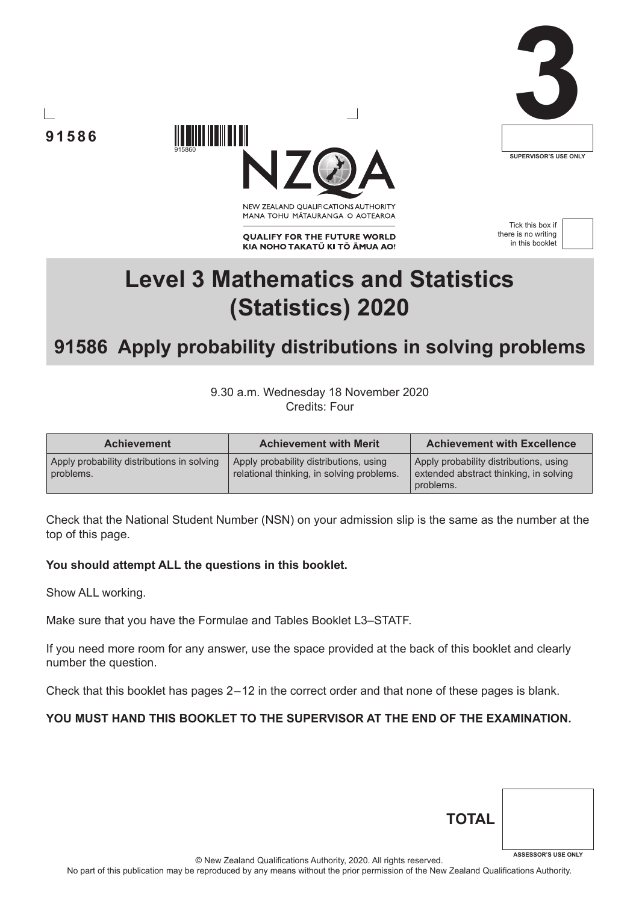





NEW ZEALAND OUALIFICATIONS AUTHORITY MANA TOHU MĀTAURANGA O AOTEAROA

**QUALIFY FOR THE FUTURE WORLD** KIA NOHO TAKATŪ KI TŌ ĀMUA AO!

Tick this box if there is no writing in this booklet



# **Level 3 Mathematics and Statistics (Statistics) 2020**

# **91586 Apply probability distributions in solving problems**

9.30 a.m. Wednesday 18 November 2020 Credits: Four

| <b>Achievement</b>                                      | <b>Achievement with Merit</b>                                                       | <b>Achievement with Excellence</b>                                                            |
|---------------------------------------------------------|-------------------------------------------------------------------------------------|-----------------------------------------------------------------------------------------------|
| Apply probability distributions in solving<br>problems. | Apply probability distributions, using<br>relational thinking, in solving problems. | Apply probability distributions, using<br>extended abstract thinking, in solving<br>problems. |

Check that the National Student Number (NSN) on your admission slip is the same as the number at the top of this page.

#### **You should attempt ALL the questions in this booklet.**

Show ALL working.

Make sure that you have the Formulae and Tables Booklet L3–STATF.

If you need more room for any answer, use the space provided at the back of this booklet and clearly number the question.

Check that this booklet has pages 2 – 12 in the correct order and that none of these pages is blank.

#### **YOU MUST HAND THIS BOOKLET TO THE SUPERVISOR AT THE END OF THE EXAMINATION.**

| <b>TOTAL</b> |                            |
|--------------|----------------------------|
|              | <b>ASSESSOR'S USE ONLY</b> |

© New Zealand Qualifications Authority, 2020. All rights reserved.

No part of this publication may be reproduced by any means without the prior permission of the New Zealand Qualifications Authority.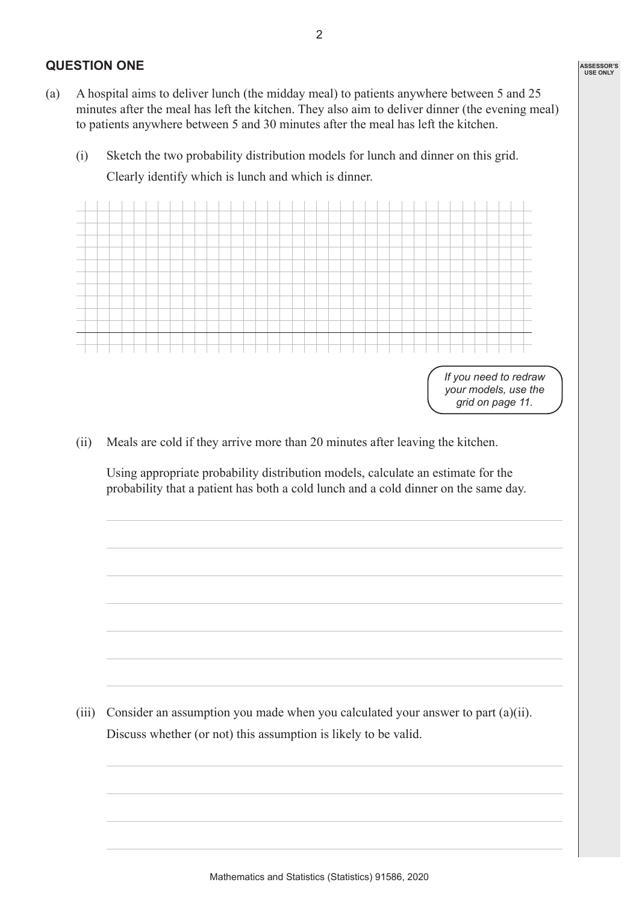#### **QUESTION ONE**

- (a) A hospital aims to deliver lunch (the midday meal) to patients anywhere between 5 and 25 minutes after the meal has left the kitchen. They also aim to deliver dinner (the evening meal) to patients anywhere between 5 and 30 minutes after the meal has left the kitchen.
	- (i) Sketch the two probability distribution models for lunch and dinner on this grid. Clearly identify which is lunch and which is dinner.



(ii) Meals are cold if they arrive more than 20 minutes after leaving the kitchen.

 Using appropriate probability distribution models, calculate an estimate for the probability that a patient has both a cold lunch and a cold dinner on the same day.

(iii) Consider an assumption you made when you calculated your answer to part (a)(ii). Discuss whether (or not) this assumption is likely to be valid.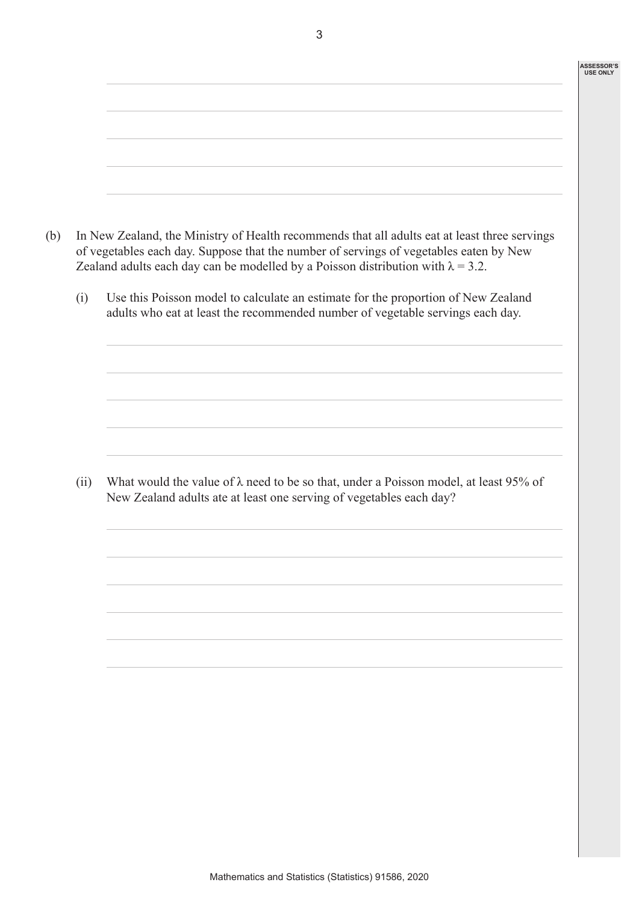|      | In New Zealand, the Ministry of Health recommends that all adults eat at least three servings<br>of vegetables each day. Suppose that the number of servings of vegetables eaten by New<br>Zealand adults each day can be modelled by a Poisson distribution with $\lambda = 3.2$ . |
|------|-------------------------------------------------------------------------------------------------------------------------------------------------------------------------------------------------------------------------------------------------------------------------------------|
| (i)  | Use this Poisson model to calculate an estimate for the proportion of New Zealand<br>adults who eat at least the recommended number of vegetable servings each day.                                                                                                                 |
|      |                                                                                                                                                                                                                                                                                     |
|      |                                                                                                                                                                                                                                                                                     |
| (ii) | What would the value of $\lambda$ need to be so that, under a Poisson model, at least 95% of<br>New Zealand adults ate at least one serving of vegetables each day?                                                                                                                 |
|      |                                                                                                                                                                                                                                                                                     |
|      |                                                                                                                                                                                                                                                                                     |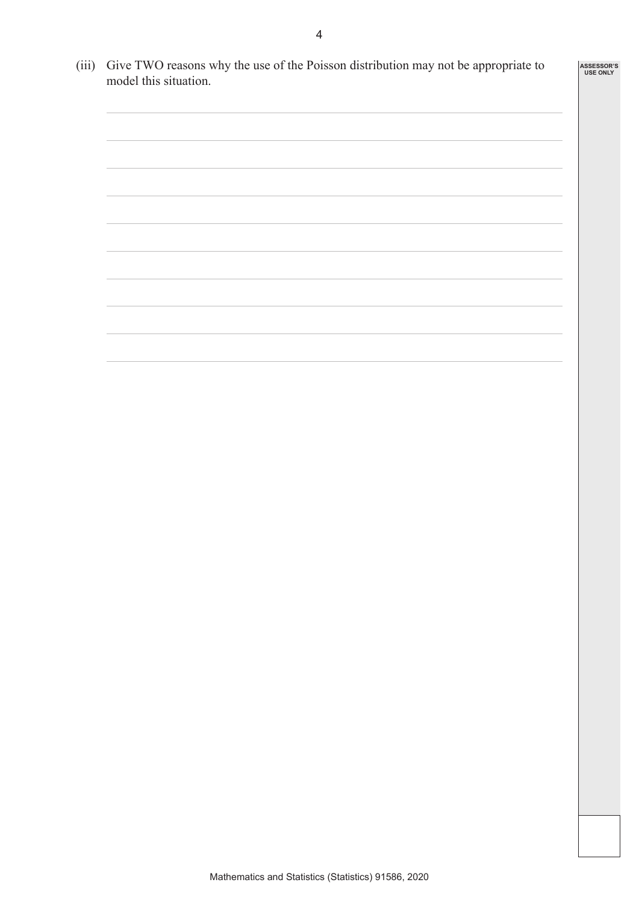- (iii) Give TWO reasons why the use of the Poisson distribution may not be appropriate to model this situation.
	-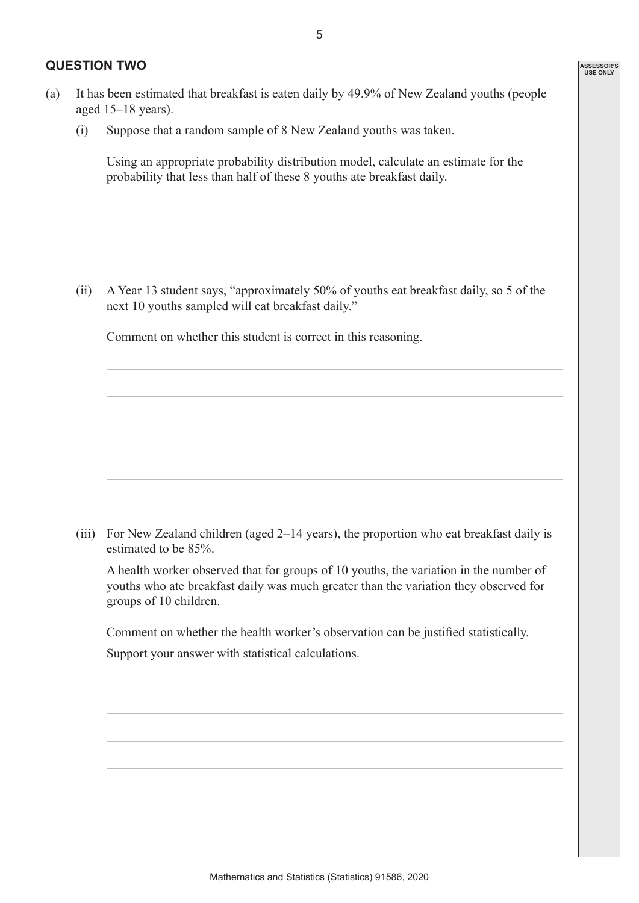#### **QUESTION TWO**

(i) Suppose that a random sample of 8 New Zealand youths was taken.

 Using an appropriate probability distribution model, calculate an estimate for the probability that less than half of these 8 youths ate breakfast daily.

(ii) A Year 13 student says, "approximately 50% of youths eat breakfast daily, so 5 of the next 10 youths sampled will eat breakfast daily."

Comment on whether this student is correct in this reasoning.

(iii) For New Zealand children (aged 2–14 years), the proportion who eat breakfast daily is estimated to be 85%.

 A health worker observed that for groups of 10 youths, the variation in the number of youths who ate breakfast daily was much greater than the variation they observed for groups of 10 children.

Comment on whether the health worker's observation can be justified statistically.

Support your answer with statistical calculations.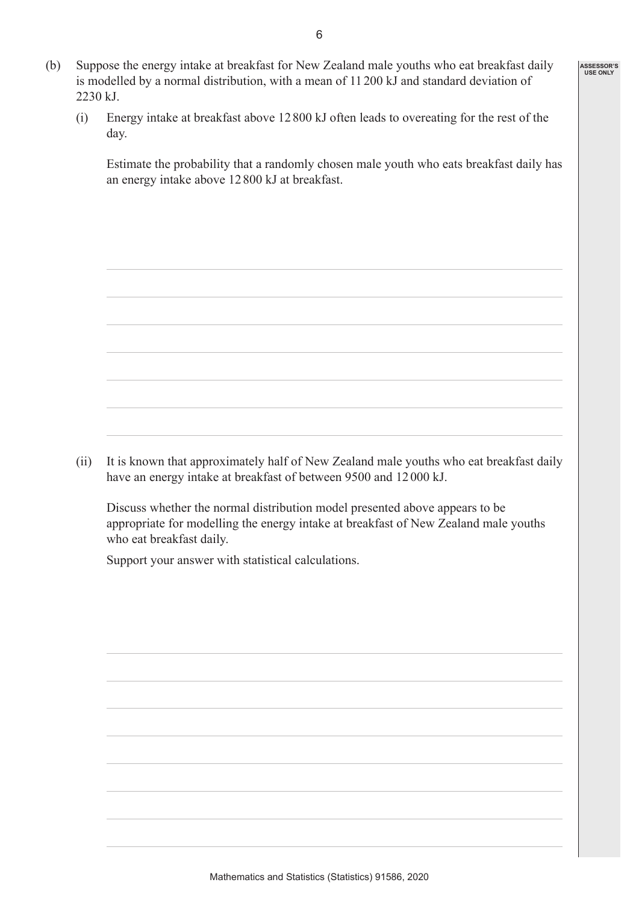- (b) Suppose the energy intake at breakfast for New Zealand male youths who eat breakfast daily is modelled by a normal distribution, with a mean of 11200 kJ and standard deviation of 2230 kJ.
	- (i) Energy intake at breakfast above 12800 kJ often leads to overeating for the rest of the day.

 Estimate the probability that a randomly chosen male youth who eats breakfast daily has an energy intake above 12800 kJ at breakfast.

**ASSESSOR'S USE ONLY**

(ii) It is known that approximately half of New Zealand male youths who eat breakfast daily have an energy intake at breakfast of between 9500 and 12000 kJ.

 Discuss whether the normal distribution model presented above appears to be appropriate for modelling the energy intake at breakfast of New Zealand male youths who eat breakfast daily.

Support your answer with statistical calculations.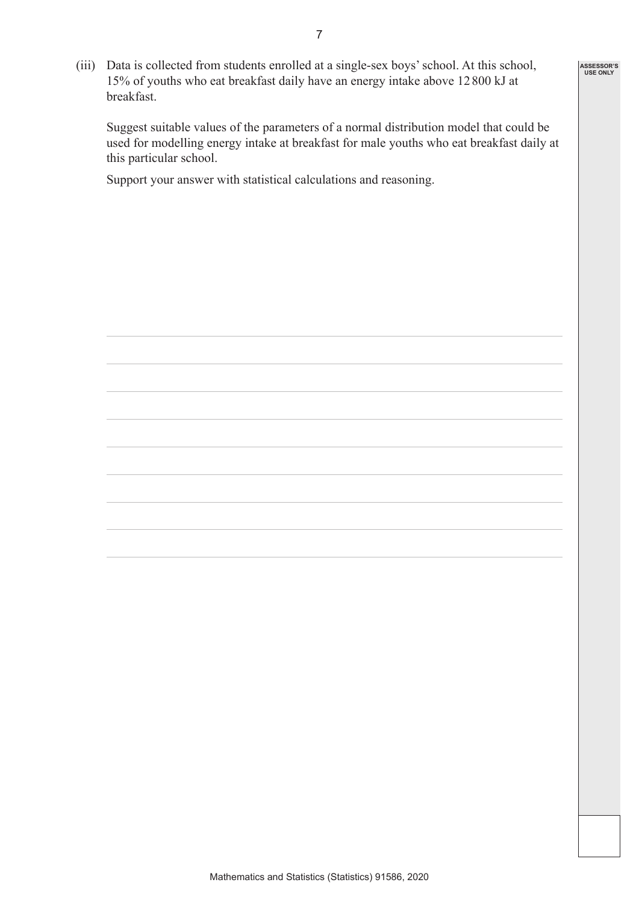(iii) Data is collected from students enrolled at a single-sex boys' school. At this school, 15% of youths who eat breakfast daily have an energy intake above 12800 kJ at breakfast.

 Suggest suitable values of the parameters of a normal distribution model that could be used for modelling energy intake at breakfast for male youths who eat breakfast daily at this particular school.

**ASSESSOR'S USE ONLY**

Support your answer with statistical calculations and reasoning.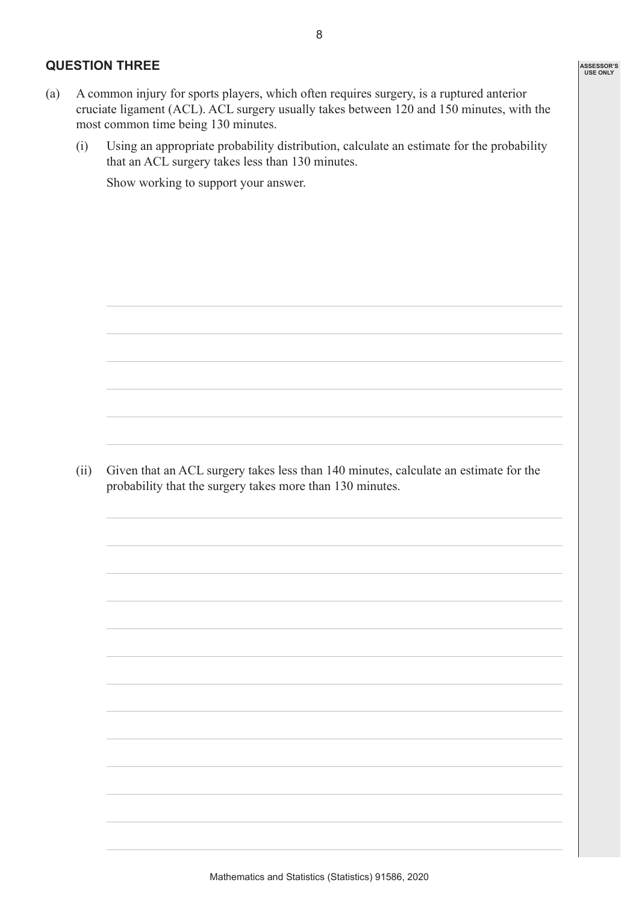### **QUESTION THREE**

- (a) A common injury for sports players, which often requires surgery, is a ruptured anterior cruciate ligament (ACL). ACL surgery usually takes between 120 and 150 minutes, with the most common time being 130 minutes.
	- (i) Using an appropriate probability distribution, calculate an estimate for the probability that an ACL surgery takes less than 130 minutes.

Show working to support your answer.

(ii) Given that an ACL surgery takes less than 140 minutes, calculate an estimate for the probability that the surgery takes more than 130 minutes.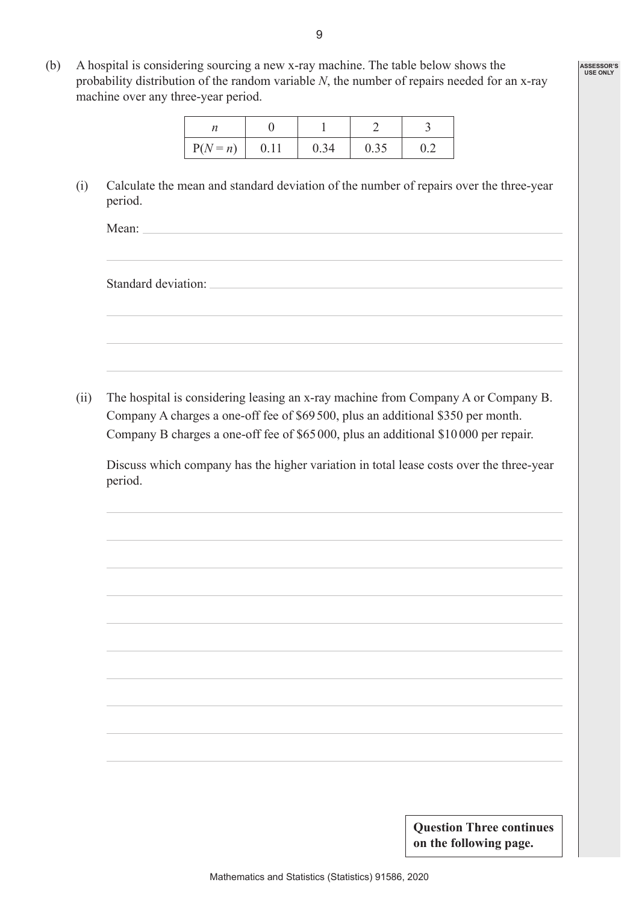(b) A hospital is considering sourcing a new x-ray machine. The table below shows the probability distribution of the random variable *N*, the number of repairs needed for an x-ray machine over any three-year period.

| $P(N = n)$ | 0.34 | 0.35 |  |
|------------|------|------|--|

(i) Calculate the mean and standard deviation of the number of repairs over the three-year period.

Mean:

Standard deviation:

(ii) The hospital is considering leasing an x-ray machine from Company A or Company B. Company A charges a one-off fee of \$69500, plus an additional \$350 per month. Company B charges a one-off fee of \$65000, plus an additional \$10000 per repair.

 Discuss which company has the higher variation in total lease costs over the three-year period.

> **Question Three continues on the following page.**

**ASSESSOR'S USE ONLY**

9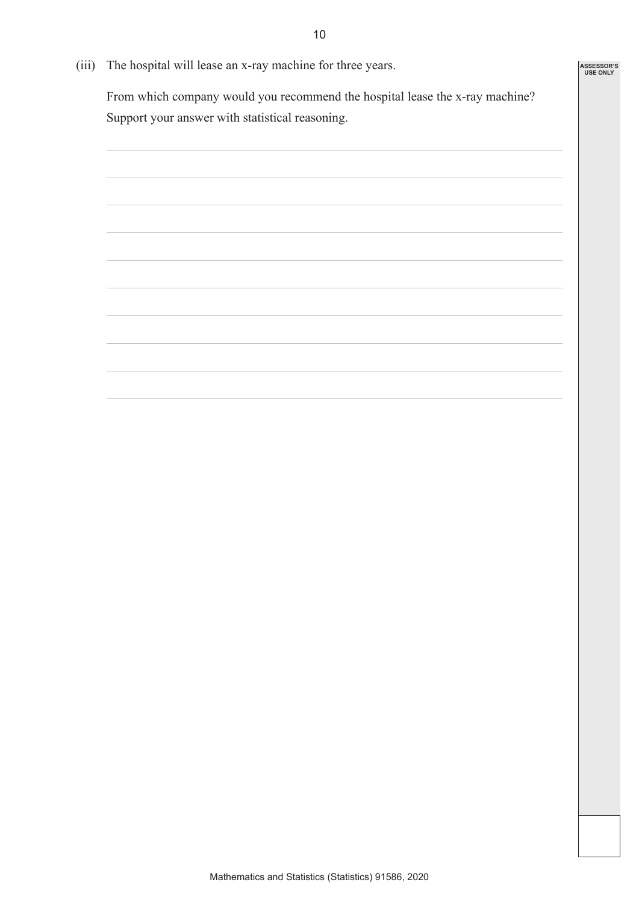(iii) The hospital will lease an x-ray machine for three years.

 From which company would you recommend the hospital lease the x-ray machine? Support your answer with statistical reasoning.

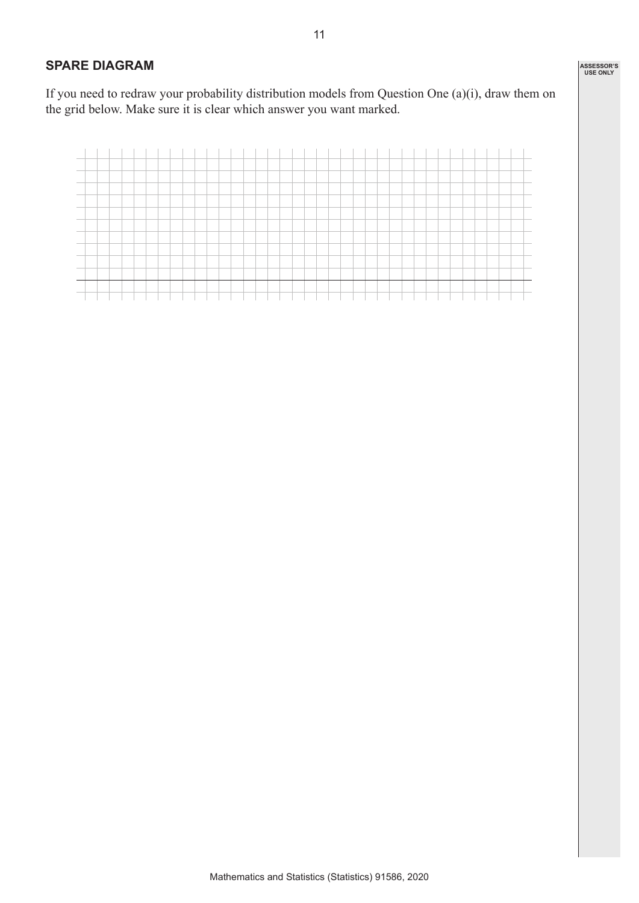## **SPARE DIAGRAM**

If you need to redraw your probability distribution models from Question One (a)(i), draw them on the grid below. Make sure it is clear which answer you want marked.

| $\sim$           |  |  |  |  |  |  |  |  |  |  |  |  |  |  |  |  |  |  |
|------------------|--|--|--|--|--|--|--|--|--|--|--|--|--|--|--|--|--|--|
| --               |  |  |  |  |  |  |  |  |  |  |  |  |  |  |  |  |  |  |
|                  |  |  |  |  |  |  |  |  |  |  |  |  |  |  |  |  |  |  |
|                  |  |  |  |  |  |  |  |  |  |  |  |  |  |  |  |  |  |  |
|                  |  |  |  |  |  |  |  |  |  |  |  |  |  |  |  |  |  |  |
|                  |  |  |  |  |  |  |  |  |  |  |  |  |  |  |  |  |  |  |
|                  |  |  |  |  |  |  |  |  |  |  |  |  |  |  |  |  |  |  |
|                  |  |  |  |  |  |  |  |  |  |  |  |  |  |  |  |  |  |  |
| <b>CONTINUES</b> |  |  |  |  |  |  |  |  |  |  |  |  |  |  |  |  |  |  |
|                  |  |  |  |  |  |  |  |  |  |  |  |  |  |  |  |  |  |  |
|                  |  |  |  |  |  |  |  |  |  |  |  |  |  |  |  |  |  |  |
|                  |  |  |  |  |  |  |  |  |  |  |  |  |  |  |  |  |  |  |
|                  |  |  |  |  |  |  |  |  |  |  |  |  |  |  |  |  |  |  |